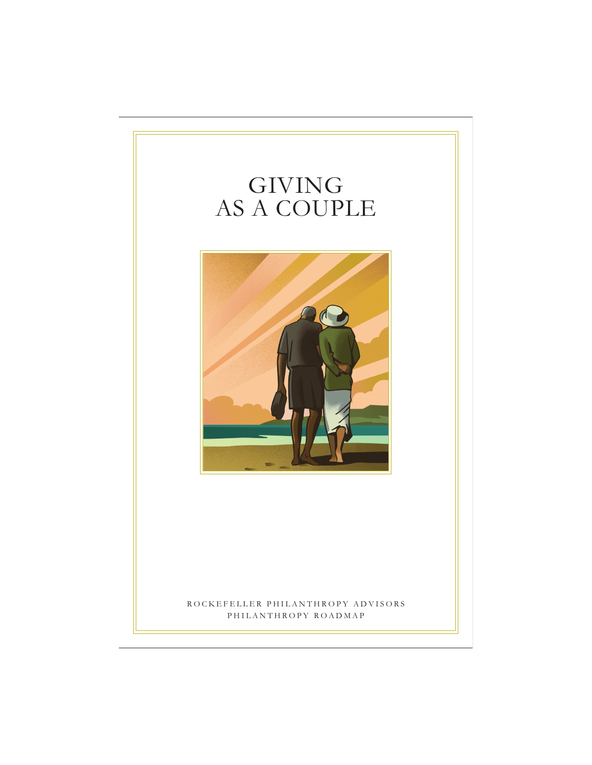# GIVING AS A COUPLE



ROCKEFELLER PHILANTHROPY ADVISORS PHILANTHROPY ROADMAP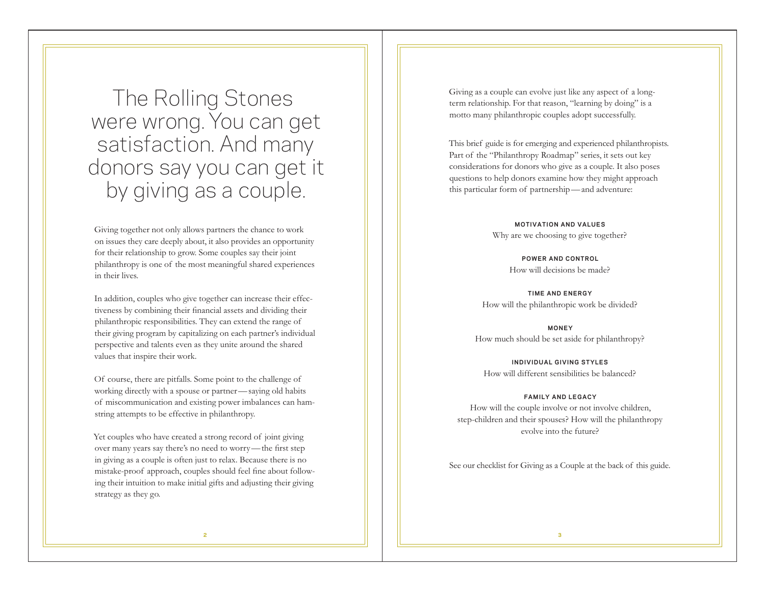The Rolling Stones were wrong. You can get satisfaction. And many donors say you can get it by giving as a couple.

Giving together not only allows partners the chance to work on issues they care deeply about, it also provides an opportunity for their relationship to grow. Some couples say their joint philanthropy is one of the most meaningful shared experiences in their lives.

In addition, couples who give together can increase their effectiveness by combining their financial assets and dividing their philanthropic responsibilities. They can extend the range of their giving program by capitalizing on each partner's individual perspective and talents even as they unite around the shared values that inspire their work.

Of course, there are pitfalls. Some point to the challenge of working directly with a spouse or partner —saying old habits of miscommunication and existing power imbalances can hamstring attempts to be effective in philanthropy.

Yet couples who have created a strong record of joint giving over many years say there's no need to worry —the first step in giving as a couple is often just to relax. Because there is no mistake-proof approach, couples should feel fine about following their intuition to make initial gifts and adjusting their giving strategy as they go.

Giving as a couple can evolve just like any aspect of a longterm relationship. For that reason, "learning by doing" is a motto many philanthropic couples adopt successfully.

This brief guide is for emerging and experienced philanthropists. Part of the "Philanthropy Roadmap" series, it sets out key considerations for donors who give as a couple. It also poses questions to help donors examine how they might approach this particular form of partnership —and adventure:

> **MOTIVATION AND VALUES** Why are we choosing to give together?

> > **POWER AND CONTROL** How will decisions be made?

**TIME AND ENERGY** How will the philanthropic work be divided?

**MONEY** How much should be set aside for philanthropy?

**INDIVIDUAL GIVING STYLES** How will different sensibilities be balanced?

#### **FAMILY AND LEGACY**

How will the couple involve or not involve children, step-children and their spouses? How will the philanthropy evolve into the future?

See our checklist for Giving as a Couple at the back of this guide.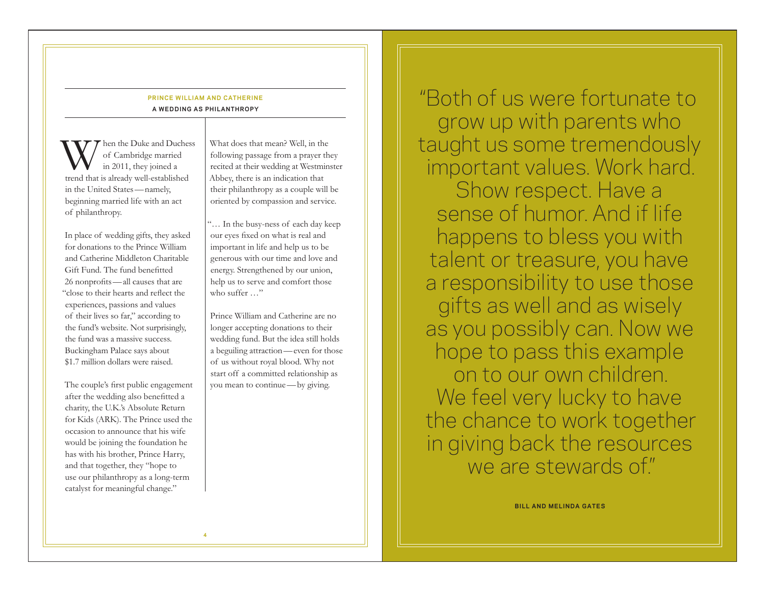### **PRINCE WILLIAM AND CATHERINE A WEDDING AS PHILANTHROPY**

When the Duke and Duchess of Cambridge married in 2011, they joined a trend that is already well-established in the United States —namely, beginning married life with an act of philanthropy.

In place of wedding gifts, they asked for donations to the Prince William and Catherine Middleton Charitable Gift Fund. The fund benefitted 26 nonprofits —all causes that are "close to their hearts and reflect the experiences, passions and values of their lives so far," according to the fund's website. Not surprisingly, the fund was a massive success. Buckingham Palace says about \$1.7 million dollars were raised.

The couple's first public engagement after the wedding also benefitted a charity, the U.K.'s Absolute Return for Kids (ARK). The Prince used the occasion to announce that his wife would be joining the foundation he has with his brother, Prince Harry, and that together, they "hope to use our philanthropy as a long-term catalyst for meaningful change."

What does that mean? Well, in the following passage from a prayer they recited at their wedding at Westminster Abbey, there is an indication that their philanthropy as a couple will be oriented by compassion and service.

"… In the busy-ness of each day keep our eyes fixed on what is real and important in life and help us to be generous with our time and love and energy. Strengthened by our union, help us to serve and comfort those who suffer …"

Prince William and Catherine are no longer accepting donations to their wedding fund. But the idea still holds a beguiling attraction —even for those of us without royal blood. Why not start off a committed relationship as you mean to continue —by giving.

"Both of us were fortunate to grow up with parents who taught us some tremendously important values. Work hard. Show respect. Have a sense of humor. And if life happens to bless you with talent or treasure, you have a responsibility to use those gifts as well and as wisely as you possibly can. Now we hope to pass this example on to our own children. We feel very lucky to have the chance to work together in giving back the resources we are stewards of."

**BILL AND MELINDA GATES**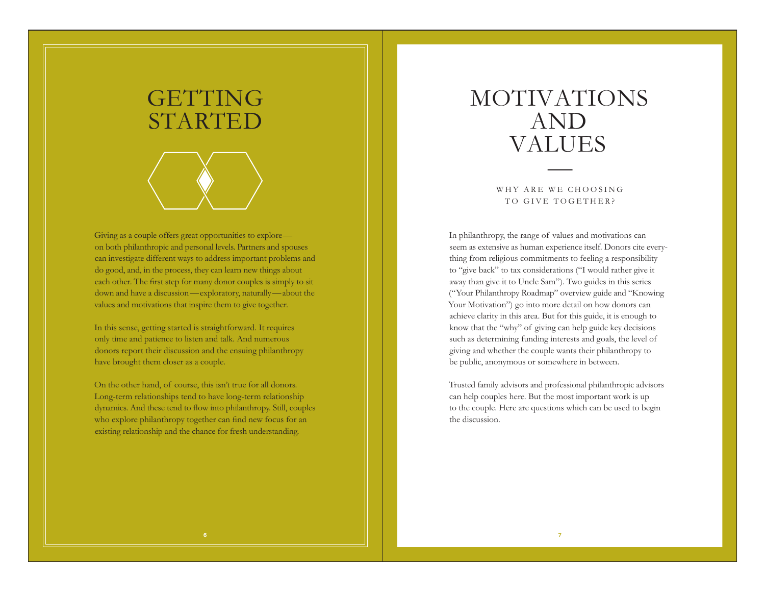

Giving as a couple offers great opportunities to explore on both philanthropic and personal levels. Partners and spouses can investigate different ways to address important problems and do good, and, in the process, they can learn new things about each other. The first step for many donor couples is simply to sit down and have a discussion—exploratory, naturally—about the values and motivations that inspire them to give together.

In this sense, getting started is straightforward. It requires only time and patience to listen and talk. And numerous donors report their discussion and the ensuing philanthropy have brought them closer as a couple.

On the other hand, of course, this isn't true for all donors. Long-term relationships tend to have long-term relationship dynamics. And these tend to flow into philanthropy. Still, couples who explore philanthropy together can find new focus for an existing relationship and the chance for fresh understanding.

# MOTIVATIONS AND VALUES

WHY ARE WE CHOOSING TO GIVE TOGETHER?

In philanthropy, the range of values and motivations can seem as extensive as human experience itself. Donors cite everything from religious commitments to feeling a responsibility to "give back" to tax considerations ("I would rather give it away than give it to Uncle Sam"). Two guides in this series ("Your Philanthropy Roadmap" overview guide and "Knowing Your Motivation") go into more detail on how donors can achieve clarity in this area. But for this guide, it is enough to know that the "why" of giving can help guide key decisions such as determining funding interests and goals, the level of giving and whether the couple wants their philanthropy to be public, anonymous or somewhere in between.

Trusted family advisors and professional philanthropic advisors can help couples here. But the most important work is up to the couple. Here are questions which can be used to begin the discussion.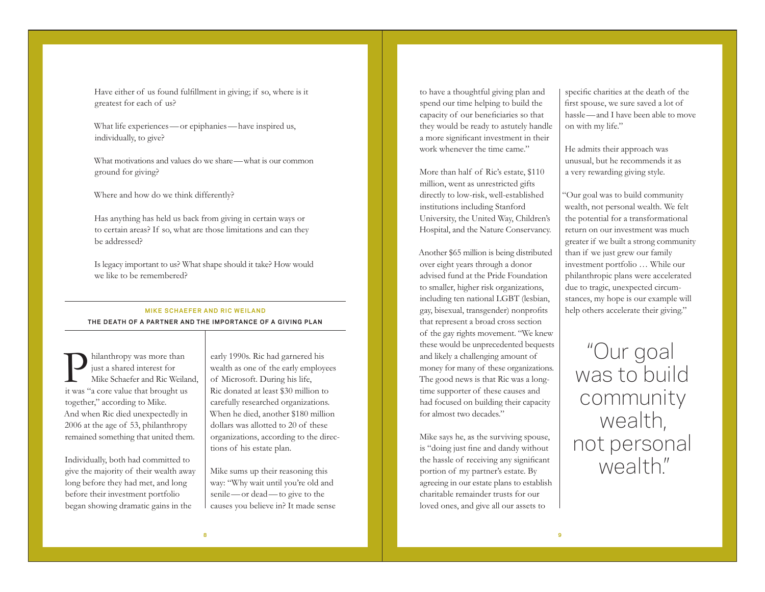Have either of us found fulfillment in giving; if so, where is it greatest for each of us?

What life experiences—or epiphanies—have inspired us, individually, to give?

What motivations and values do we share—what is our common ground for giving?

Where and how do we think differently?

Has anything has held us back from giving in certain ways or to certain areas? If so, what are those limitations and can they be addressed?

Is legacy important to us? What shape should it take? How would we like to be remembered?

### **MIKE SCHAEFER AND RIC WEILAND THE DEATH OF A PARTNER AND THE IMPORTANCE OF A G IV ING PLAN**

Philanthropy was more than just a shared interest for Mike Schaefer and Ric Weiland, it was "a core value that brought us together," according to Mike. And when Ric died unexpectedly in 2006 at the age of 53, philanthropy remained something that united them.

Individually, both had committed to give the majority of their wealth away long before they had met, and long before their investment portfolio began showing dramatic gains in the

early 1990s. Ric had garnered his wealth as one of the early employees of Microsoft. During his life, Ric donated at least \$30 million to carefully researched organizations. When he died, another \$180 million dollars was allotted to 20 of these organizations, according to the directions of his estate plan.

Mike sums up their reasoning this way: "Why wait until you're old and senile—or dead—to give to the causes you believe in? It made sense to have a thoughtful giving plan and spend our time helping to build the capacity of our beneficiaries so that they would be ready to astutely handle a more significant investment in their work whenever the time came."

More than half of Ric's estate, \$110 million, went as unrestricted gifts directly to low-risk, well-established institutions including Stanford University, the United Way, Children's Hospital, and the Nature Conservancy.

Another \$65 million is being distributed over eight years through a donor advised fund at the Pride Foundation to smaller, higher risk organizations, including ten national LGBT (lesbian, gay, bisexual, transgender) nonprofits that represent a broad cross section of the gay rights movement. "We knew these would be unprecedented bequests and likely a challenging amount of money for many of these organizations. The good news is that Ric was a longtime supporter of these causes and had focused on building their capacity for almost two decades."

Mike says he, as the surviving spouse, is "doing just fine and dandy without the hassle of receiving any significant portion of my partner's estate. By agreeing in our estate plans to establish charitable remainder trusts for our loved ones, and give all our assets to

specific charities at the death of the first spouse, we sure saved a lot of hassle—and I have been able to move on with my life."

He admits their approach was unusual, but he recommends it as a very rewarding giving style.

"Our goal was to build community wealth, not personal wealth. We felt the potential for a transformational return on our investment was much greater if we built a strong community than if we just grew our family investment portfolio … While our philanthropic plans were accelerated due to tragic, unexpected circumstances, my hope is our example will help others accelerate their giving."

"Our goal was to build community wealth, not personal wealth"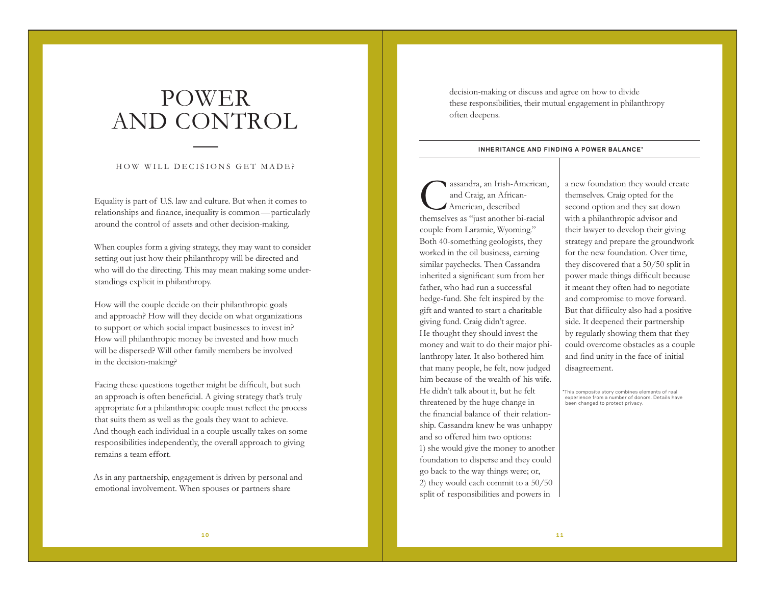# POWER AND CONTROL

### HOW WILL DECISIONS GET MADE?

 $\mathcal{L} = \{ \mathcal{L} \in \mathcal{L} \mid \mathcal{L} \in \mathcal{L} \}$  , where  $\mathcal{L} = \{ \mathcal{L} \mid \mathcal{L} \in \mathcal{L} \}$ 

Equality is part of U.S. law and culture. But when it comes to relationships and finance, inequality is common —particularly around the control of assets and other decision-making.

When couples form a giving strategy, they may want to consider setting out just how their philanthropy will be directed and who will do the directing. This may mean making some understandings explicit in philanthropy.

How will the couple decide on their philanthropic goals and approach? How will they decide on what organizations to support or which social impact businesses to invest in? How will philanthropic money be invested and how much will be dispersed? Will other family members be involved in the decision-making?

Facing these questions together might be difficult, but such an approach is often beneficial. A giving strategy that's truly appropriate for a philanthropic couple must reflect the process that suits them as well as the goals they want to achieve. And though each individual in a couple usually takes on some responsibilities independently, the overall approach to giving remains a team effort.

As in any partnership, engagement is driven by personal and emotional involvement. When spouses or partners share

decision-making or discuss and agree on how to divide these responsibilities, their mutual engagement in philanthropy often deepens.

#### **INHERITANCE AND FINDING A POWER BALANCE\***

Cassandra, an Irish-American, and Craig, an African- American, described themselves as "just another bi-racial couple from Laramie, Wyoming." Both 40-something geologists, they worked in the oil business, earning similar paychecks. Then Cassandra inherited a significant sum from her father, who had run a successful hedge-fund. She felt inspired by the gift and wanted to start a charitable giving fund. Craig didn't agree. He thought they should invest the money and wait to do their major philanthropy later. It also bothered him that many people, he felt, now judged him because of the wealth of his wife. He didn't talk about it, but he felt threatened by the huge change in the financial balance of their relationship. Cassandra knew he was unhappy and so offered him two options: 1) she would give the money to another foundation to disperse and they could go back to the way things were; or, 2) they would each commit to a 50/50 split of responsibilities and powers in

a new foundation they would create themselves. Craig opted for the second option and they sat down with a philanthropic advisor and their lawyer to develop their giving strategy and prepare the groundwork for the new foundation. Over time, they discovered that a 50/50 split in power made things difficult because it meant they often had to negotiate and compromise to move forward. But that difficulty also had a positive side. It deepened their partnership by regularly showing them that they could overcome obstacles as a couple and find unity in the face of initial disagreement.

\*This composite story combines elements of real experience from a number of donors. Details have been changed to protect privacy.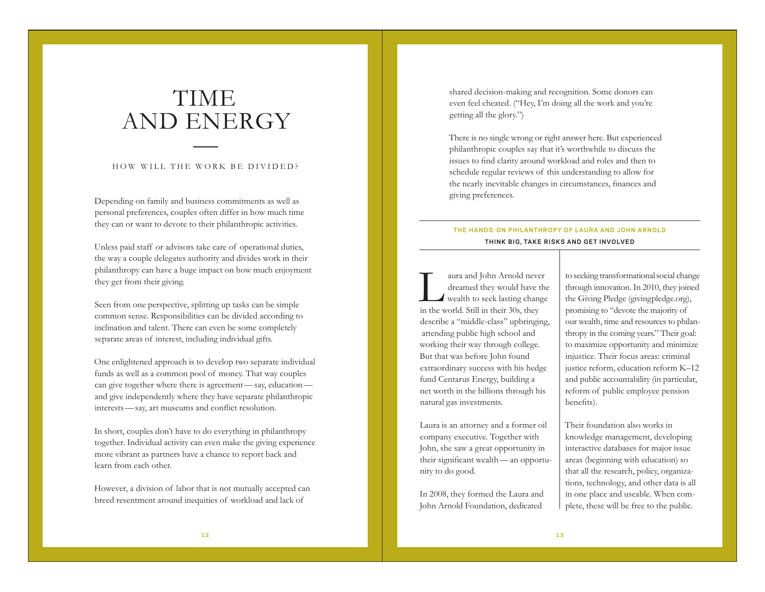# TIME AND ENERGY

### HOW WILL THE WORK BE DIVIDED?

 $\mathcal{L} = \{ \mathcal{L} \in \mathcal{L} \mid \mathcal{L} \in \mathcal{L} \}$  , where  $\mathcal{L} = \{ \mathcal{L} \mid \mathcal{L} \in \mathcal{L} \}$ 

Depending on family and business commitments as well as personal preferences, couples often differ in how much time they can or want to devote to their philanthropic activities.

Unless paid staff or advisors take care of operational duties, the way a couple delegates authority and divides work in their philanthropy can have a huge impact on how much enjoyment they get from their giving.

Seen from one perspective, splitting up tasks can be simple common sense. Responsibilities can be divided according to inclination and talent. There can even be some completely separate areas of interest, including individual gifts.

One enlightened approach is to develop two separate individual funds as well as a common pool of money. That way couples can give together where there is agreement—say, education and give independently where they have separate philanthropic interests —say, art museums and conflict resolution.

In short, couples don't have to do everything in philanthropy together. Individual activity can even make the giving experience more vibrant as partners have a chance to report back and learn from each other.

However, a division of labor that is not mutually accepted can breed resentment around inequities of workload and lack of

shared decision-making and recognition. Some donors can even feel cheated. ("Hey, I'm doing all the work and you're getting all the glory.")

There is no single wrong or right answer here. But experienced philanthropic couples say that it's worthwhile to discuss the issues to find clarity around workload and roles and then to schedule regular reviews of this understanding to allow for the nearly inevitable changes in circumstances, finances and giving preferences.

### **THE HANDS-ON PHILANTHROPY OF LAURA AND JOHN ARNOLD TH INK B IG, TAKE R ISKS AND GET INVOLVED**

Laura and John Arnold never dreamed they would have the wealth to seek lasting change in the world. Still in their 30s, they describe a "middle-class" upbringing, attending public high school and working their way through college. But that was before John found extraordinary success with his hedge fund Centarus Energy, building a net worth in the billions through his natural gas investments.

Laura is an attorney and a former oil company executive. Together with John, she saw a great opportunity in their significant wealth —an opportunity to do good.

In 2008, they formed the Laura and John Arnold Foundation, dedicated

to seeking transformational social change through innovation. In 2010, they joined the Giving Pledge (givingpledge.org), promising to "devote the majority of our wealth, time and resources to philanthropy in the coming years." Their goal: to maximize opportunity and minimize injustice. Their focus areas: criminal justice reform, education reform K–12 and public accountability (in particular, reform of public employee pension benefits).

Their foundation also works in knowledge management, developing interactive databases for major issue areas (beginning with education) so that all the research, policy, organizations, technology, and other data is all in one place and useable. When complete, these will be free to the public.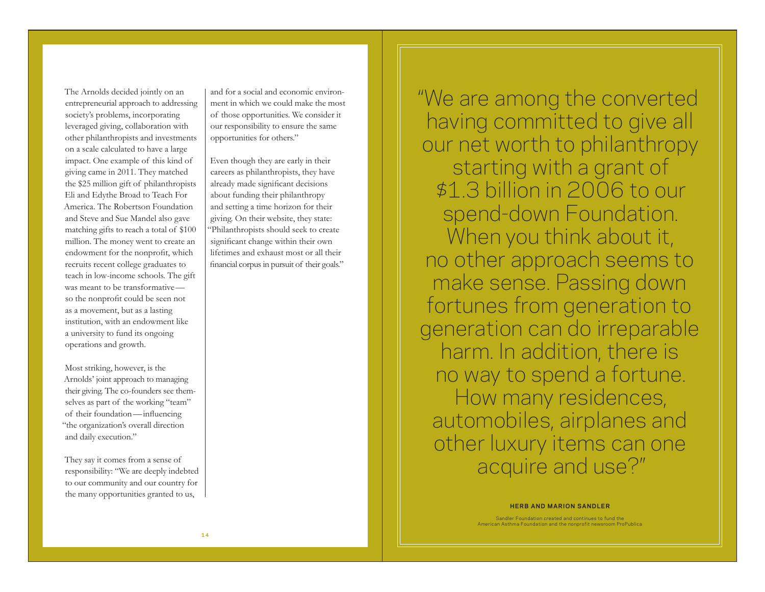The Arnolds decided jointly on an entrepreneurial approach to addressing society's problems, incorporating leveraged giving, collaboration with other philanthropists and investments on a scale calculated to have a large impact. One example of this kind of giving came in 2011. They matched the \$25 million gift of philanthropists Eli and Edythe Broad to Teach For America. The Robertson Foundation and Steve and Sue Mandel also gave matching gifts to reach a total of \$100 million. The money went to create an endowment for the nonprofit, which recruits recent college graduates to teach in low-income schools. The gift was meant to be transformative so the nonprofit could be seen not as a movement, but as a lasting institution, with an endowment like a university to fund its ongoing operations and growth.

Most striking, however, is the Arnolds' joint approach to managing their giving. The co-founders see themselves as part of the working "team" of their foundation —influencing "the organization's overall direction and daily execution."

They say it comes from a sense of responsibility: "We are deeply indebted to our community and our country for the many opportunities granted to us,

and for a social and economic environment in which we could make the most of those opportunities. We consider it our responsibility to ensure the same opportunities for others."

Even though they are early in their careers as philanthropists, they have already made significant decisions about funding their philanthropy and setting a time horizon for their giving. On their website, they state: "Philanthropists should seek to create significant change within their own lifetimes and exhaust most or all their financial corpus in pursuit of their goals." "We are among the converted having committed to give all our net worth to philanthropy starting with a grant of \$1.3 billion in 2006 to our spend-down Foundation. When you think about it, no other approach seems to make sense. Passing down fortunes from generation to generation can do irreparable harm. In addition, there is no way to spend a fortune. How many residences, automobiles, airplanes and other luxury items can one acquire and use?"

#### **HERB AND MARION SANDLER**

Sandler Foundation created and continues to fund the American Asthma Foundation and the nonprofit newsroom ProPublica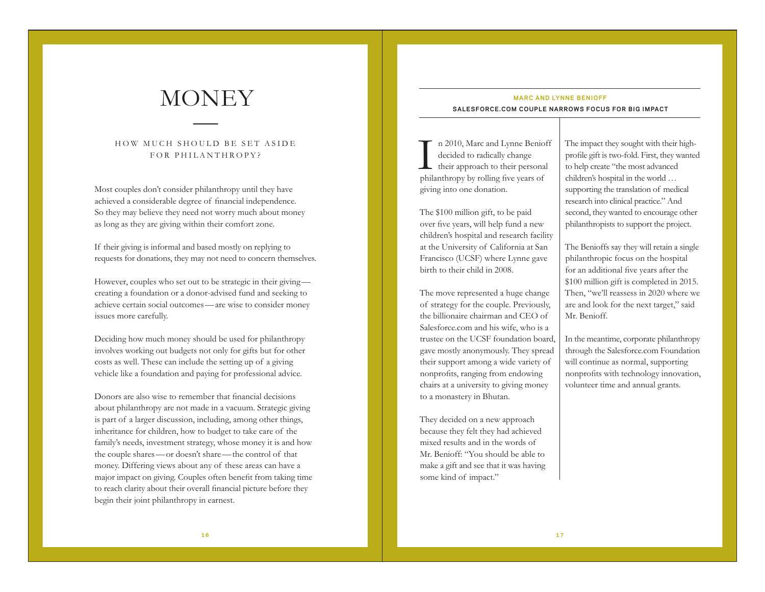$\mathcal{L} = \{ \mathcal{L} \in \mathcal{L} \mid \mathcal{L} \in \mathcal{L} \}$  , where  $\mathcal{L} = \{ \mathcal{L} \mid \mathcal{L} \in \mathcal{L} \}$ 

### HOW MUCH SHOULD BE SET ASIDE FOR PHILANTHROPY?

Most couples don't consider philanthropy until they have achieved a considerable degree of financial independence. So they may believe they need not worry much about money as long as they are giving within their comfort zone.

If their giving is informal and based mostly on replying to requests for donations, they may not need to concern themselves.

However, couples who set out to be strategic in their giving creating a foundation or a donor-advised fund and seeking to achieve certain social outcomes—are wise to consider money issues more carefully.

Deciding how much money should be used for philanthropy involves working out budgets not only for gifts but for other costs as well. These can include the setting up of a giving vehicle like a foundation and paying for professional advice.

Donors are also wise to remember that financial decisions about philanthropy are not made in a vacuum. Strategic giving is part of a larger discussion, including, among other things, inheritance for children, how to budget to take care of the family's needs, investment strategy, whose money it is and how the couple shares—or doesn't share—the control of that money. Differing views about any of these areas can have a major impact on giving. Couples often benefit from taking time to reach clarity about their overall financial picture before they begin their joint philanthropy in earnest.

## **MONEY** MARC AND LYNNE BENIOFF **SALESFORCE.COM COUPLE NARROWS FOCUS FOR B IG IMPACT**

I n 2010, Marc and Lynne Benioff decided to radically change their approach to their personal philanthropy by rolling five years of giving into one donation.

The \$100 million gift, to be paid over five years, will help fund a new children's hospital and research facility at the University of California at San Francisco (UCSF) where Lynne gave birth to their child in 2008.

The move represented a huge change of strategy for the couple. Previously, the billionaire chairman and CEO of Salesforce.com and his wife, who is a trustee on the UCSF foundation board, gave mostly anonymously. They spread their support among a wide variety of nonprofits, ranging from endowing chairs at a university to giving money to a monastery in Bhutan.

They decided on a new approach because they felt they had achieved mixed results and in the words of Mr. Benioff: "You should be able to make a gift and see that it was having some kind of impact."

The impact they sought with their highprofile gift is two-fold. First, they wanted to help create "the most advanced children's hospital in the world … supporting the translation of medical research into clinical practice." And second, they wanted to encourage other philanthropists to support the project.

The Benioffs say they will retain a single philanthropic focus on the hospital for an additional five years after the \$100 million gift is completed in 2015. Then, "we'll reassess in 2020 where we are and look for the next target," said Mr. Benioff.

In the meantime, corporate philanthropy through the Salesforce.com Foundation will continue as normal, supporting nonprofits with technology innovation, volunteer time and annual grants.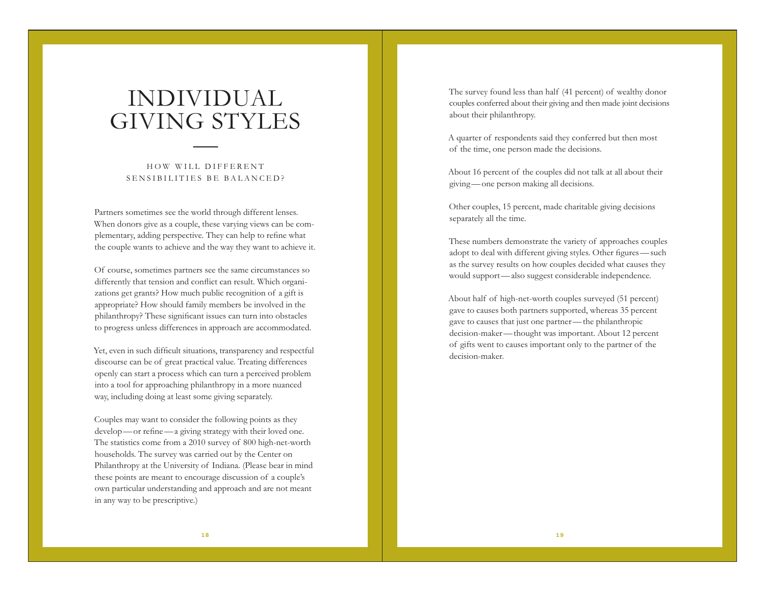# INDIVIDUAL GIVING STYLES

### HOW WILL DIFFERENT SENSIBILITIES BE BALANCED?

 $\mathcal{L} = \{ \mathcal{L} \in \mathcal{L} \mid \mathcal{L} \in \mathcal{L} \}$  , where  $\mathcal{L} = \{ \mathcal{L} \mid \mathcal{L} \in \mathcal{L} \}$ 

Partners sometimes see the world through different lenses. When donors give as a couple, these varying views can be complementary, adding perspective. They can help to refine what the couple wants to achieve and the way they want to achieve it.

Of course, sometimes partners see the same circumstances so differently that tension and conflict can result. Which organizations get grants? How much public recognition of a gift is appropriate? How should family members be involved in the philanthropy? These significant issues can turn into obstacles to progress unless differences in approach are accommodated.

Yet, even in such difficult situations, transparency and respectful discourse can be of great practical value. Treating differences openly can start a process which can turn a perceived problem into a tool for approaching philanthropy in a more nuanced way, including doing at least some giving separately.

Couples may want to consider the following points as they develop —or refine —a giving strategy with their loved one. The statistics come from a 2010 survey of 800 high-net-worth households. The survey was carried out by the Center on Philanthropy at the University of Indiana. (Please bear in mind these points are meant to encourage discussion of a couple's own particular understanding and approach and are not meant in any way to be prescriptive.)

The survey found less than half (41 percent) of wealthy donor couples conferred about their giving and then made joint decisions about their philanthropy.

A quarter of respondents said they conferred but then most of the time, one person made the decisions.

About 16 percent of the couples did not talk at all about their giving —one person making all decisions.

Other couples, 15 percent, made charitable giving decisions separately all the time.

These numbers demonstrate the variety of approaches couples adopt to deal with different giving styles. Other figures —such as the survey results on how couples decided what causes they would support —also suggest considerable independence.

About half of high-net-worth couples surveyed (51 percent) gave to causes both partners supported, whereas 35 percent gave to causes that just one partner —the philanthropic decision-maker —thought was important. About 12 percent of gifts went to causes important only to the partner of the decision-maker.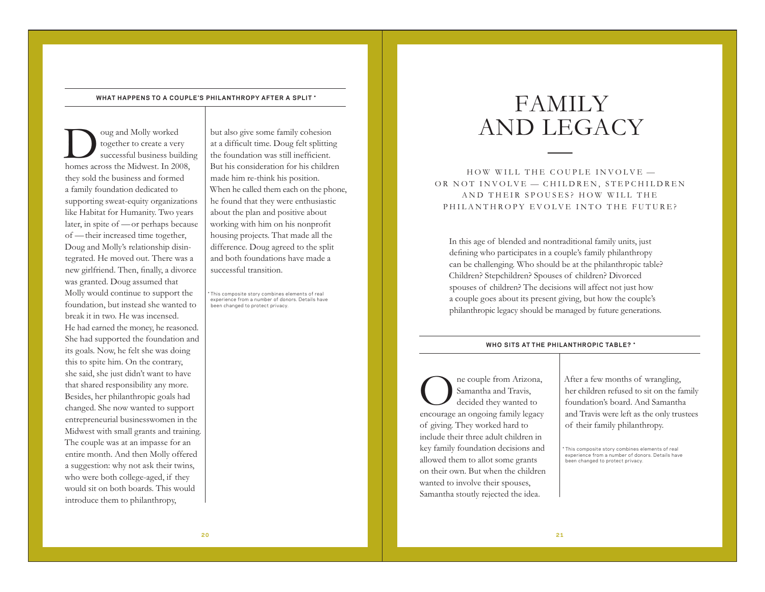#### **WHAT HAPPENS TO A COUPLE'S PHILANTHROPY AFTER A SPLIT \***

Doug and Molly worked together to create a very successful business building homes across the Midwest. In 2008, they sold the business and formed a family foundation dedicated to supporting sweat-equity organizations like Habitat for Humanity. Two years later, in spite of —or perhaps because of —their increased time together, Doug and Molly's relationship disintegrated. He moved out. There was a new girlfriend. Then, finally, a divorce was granted. Doug assumed that Molly would continue to support the foundation, but instead she wanted to break it in two. He was incensed. He had earned the money, he reasoned. She had supported the foundation and its goals. Now, he felt she was doing this to spite him. On the contrary, she said, she just didn't want to have that shared responsibility any more. Besides, her philanthropic goals had changed. She now wanted to support entrepreneurial businesswomen in the Midwest with small grants and training. The couple was at an impasse for an entire month. And then Molly offered a suggestion: why not ask their twins, who were both college-aged, if they would sit on both boards. This would introduce them to philanthropy,

but also give some family cohesion at a difficult time. Doug felt splitting the foundation was still inefficient. But his consideration for his children made him re-think his position. When he called them each on the phone, he found that they were enthusiastic about the plan and positive about working with him on his nonprofit housing projects. That made all the difference. Doug agreed to the split and both foundations have made a successful transition.

This composite story combines elements of real experience from a number of donors. Details have been changed to protect privacy.

# FAMILY AND LEGACY

HOW WILL THE COUPLE INVOLVE — OR NOT INVOLVE - CHILDREN, STEPCHILDREN AND THEIR SPOUSES? HOW WILL THE PHILANTHROPY EVOLVE INTO THE FUTURE?

In this age of blended and nontraditional family units, just defining who participates in a couple's family philanthropy can be challenging. Who should be at the philanthropic table? Children? Stepchildren? Spouses of children? Divorced spouses of children? The decisions will affect not just how a couple goes about its present giving, but how the couple's philanthropic legacy should be managed by future generations.

#### **WHO SITS AT THE PHILANTHROPIC TABLE? \***

One couple from Arizona, Samantha and Travis, decided they wanted to encourage an ongoing family legacy of giving. They worked hard to include their three adult children in key family foundation decisions and allowed them to allot some grants on their own. But when the children wanted to involve their spouses, Samantha stoutly rejected the idea.

After a few months of wrangling, her children refused to sit on the family foundation's board. And Samantha and Travis were left as the only trustees of their family philanthropy.

This composite story combines elements of real experience from a number of donors. Details have been changed to protect privacy.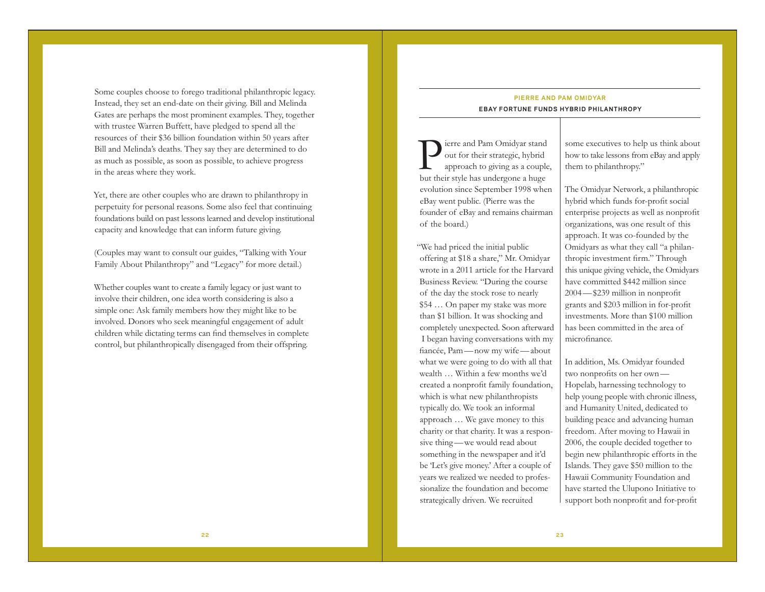Some couples choose to forego traditional philanthropic legacy. Instead, they set an end-date on their giving. Bill and Melinda Gates are perhaps the most prominent examples. They, together with trustee Warren Buffett, have pledged to spend all the resources of their \$36 billion foundation within 50 years after Bill and Melinda's deaths. They say they are determined to do as much as possible, as soon as possible, to achieve progress in the areas where they work.

Yet, there are other couples who are drawn to philanthropy in perpetuity for personal reasons. Some also feel that continuing foundations build on past lessons learned and develop institutional capacity and knowledge that can inform future giving.

(Couples may want to consult our guides, "Talking with Your Family About Philanthropy" and "Legacy" for more detail.)

Whether couples want to create a family legacy or just want to involve their children, one idea worth considering is also a simple one: Ask family members how they might like to be involved. Donors who seek meaningful engagement of adult children while dictating terms can find themselves in complete control, but philanthropically disengaged from their offspring.

### **P IERRE AND PAM OM IDYAR EBAY FORTUNE FUNDS HYBRID PHILANTHROPY**

Pierre and Pam Omidyar stand out for their strategic, hybrid approach to giving as a couple, but their style has undergone a huge evolution since September 1998 when eBay went public. (Pierre was the founder of eBay and remains chairman of the board.)

"We had priced the initial public offering at \$18 a share," Mr. Omidyar wrote in a 2011 article for the Harvard Business Review. "During the course of the day the stock rose to nearly \$54 … On paper my stake was more than \$1 billion. It was shocking and completely unexpected. Soon afterward I began having conversations with my fiancée, Pam —now my wife —about what we were going to do with all that wealth … Within a few months we'd created a nonprofit family foundation, which is what new philanthropists typically do. We took an informal approach … We gave money to this charity or that charity. It was a responsive thing —we would read about something in the newspaper and it'd be 'Let's give money.' After a couple of years we realized we needed to professionalize the foundation and become strategically driven. We recruited

some executives to help us think about how to take lessons from eBay and apply them to philanthropy."

The Omidyar Network, a philanthropic hybrid which funds for-profit social enterprise projects as well as nonprofit organizations, was one result of this approach. It was co-founded by the Omidyars as what they call "a philanthropic investment firm." Through this unique giving vehicle, the Omidyars have committed \$442 million since 2004 —\$239 million in nonprofit grants and \$203 million in for-profit investments. More than \$100 million has been committed in the area of microfinance.

In addition, Ms. Omidyar founded two nonprofits on her own — Hopelab, harnessing technology to help young people with chronic illness, and Humanity United, dedicated to building peace and advancing human freedom. After moving to Hawaii in 2006, the couple decided together to begin new philanthropic efforts in the Islands. They gave \$50 million to the Hawaii Community Foundation and have started the Ulupono Initiative to support both nonprofit and for-profit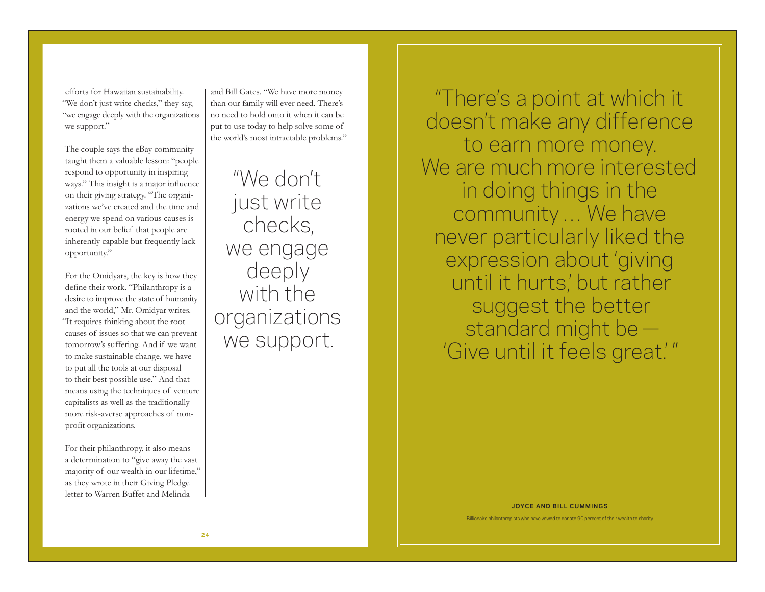efforts for Hawaiian sustainability. "We don't just write checks," they say, "we engage deeply with the organizations we support."

The couple says the eBay community taught them a valuable lesson: "people respond to opportunity in inspiring ways." This insight is a major influence on their giving strategy. "The organizations we've created and the time and energy we spend on various causes is rooted in our belief that people are inherently capable but frequently lack opportunity."

For the Omidyars, the key is how they define their work. "Philanthropy is a desire to improve the state of humanity and the world," Mr. Omidyar writes. "It requires thinking about the root causes of issues so that we can prevent tomorrow's suffering. And if we want to make sustainable change, we have to put all the tools at our disposal to their best possible use." And that means using the techniques of venture capitalists as well as the traditionally more risk-averse approaches of nonprofit organizations.

For their philanthropy, it also means a determination to "give away the vast majority of our wealth in our lifetime," as they wrote in their Giving Pledge letter to Warren Buffet and Melinda

and Bill Gates. "We have more money than our family will ever need. There's no need to hold onto it when it can be put to use today to help solve some of the world's most intractable problems."

"We don't just write checks, we engage deeply with the organizations we support.

"There's a point at which it doesn't make any difference to earn more money. We are much more interested in doing things in the community … We have never particularly liked the expression about 'giving until it hurts,' but rather suggest the better standard might be — 'Give until it feels great.' "

**JOYCE AND BILL CUMMINGS**

Billionaire philanthropists who have vowed to donate 90 percent of their wealth to charity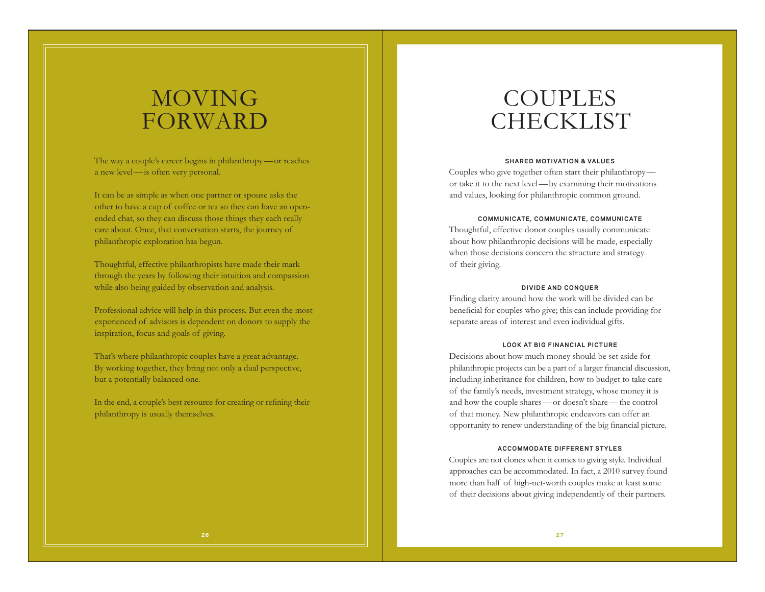# MOVING FORWARD

The way a couple's career begins in philanthropy—or reaches a new level—is often very personal.

It can be as simple as when one partner or spouse asks the other to have a cup of coffee or tea so they can have an openended chat, so they can discuss those things they each really care about. Once, that conversation starts, the journey of philanthropic exploration has begun.

Thoughtful, effective philanthropists have made their mark through the years by following their intuition and compassion while also being guided by observation and analysis.

Professional advice will help in this process. But even the most experienced of advisors is dependent on donors to supply the inspiration, focus and goals of giving.

That's where philanthropic couples have a great advantage. By working together, they bring not only a dual perspective, but a potentially balanced one.

In the end, a couple's best resource for creating or refining their philanthropy is usually themselves.

# COUPLES **CHECKLIST**

#### **SHARED MOTIVATION & VALUES**

Couples who give together often start their philanthropy or take it to the next level—by examining their motivations and values, looking for philanthropic common ground.

#### **COMMUNICATE, COMMUNICATE, COMMUNICATE**

Thoughtful, effective donor couples usually communicate about how philanthropic decisions will be made, especially when those decisions concern the structure and strategy of their giving.

#### **DIVIDE AND CONQUER**

Finding clarity around how the work will be divided can be beneficial for couples who give; this can include providing for separate areas of interest and even individual gifts.

#### **LOOK AT BIG FINANCIAL PICTURE**

Decisions about how much money should be set aside for philanthropic projects can be a part of a larger financial discussion, including inheritance for children, how to budget to take care of the family's needs, investment strategy, whose money it is and how the couple shares—or doesn't share—the control of that money. New philanthropic endeavors can offer an opportunity to renew understanding of the big financial picture.

#### **ACCOMMODATE DIFFERENT STYLES**

Couples are not clones when it comes to giving style. Individual approaches can be accommodated. In fact, a 2010 survey found more than half of high-net-worth couples make at least some of their decisions about giving independently of their partners.